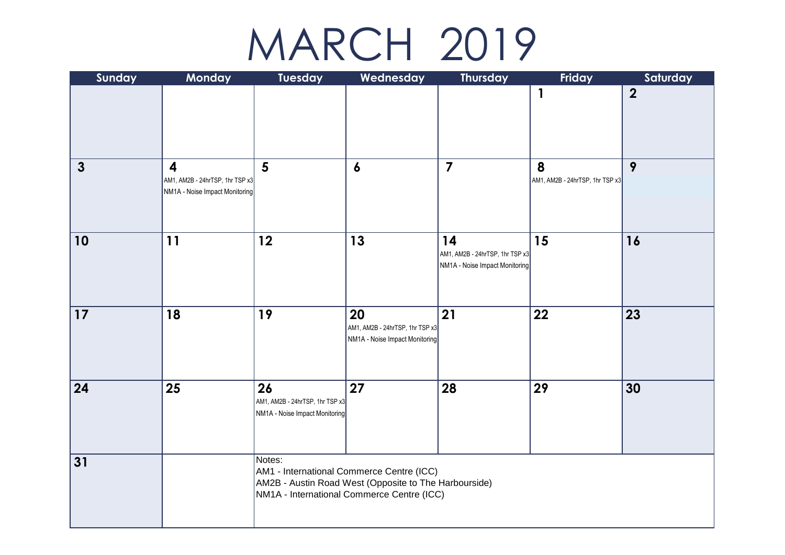## MARCH 2019

| Sunday       | Monday                                                                                       | Tuesday                                                                                                                                                    | Wednesday                                                               | <b>Thursday</b>                                                         | Friday                               | Saturday         |  |  |
|--------------|----------------------------------------------------------------------------------------------|------------------------------------------------------------------------------------------------------------------------------------------------------------|-------------------------------------------------------------------------|-------------------------------------------------------------------------|--------------------------------------|------------------|--|--|
|              |                                                                                              |                                                                                                                                                            |                                                                         |                                                                         | $\mathbf{1}$                         | $\boldsymbol{2}$ |  |  |
| $\mathbf{3}$ | $\overline{\mathbf{4}}$<br>AM1, AM2B - 24hrTSP, 1hr TSP x3<br>NM1A - Noise Impact Monitoring | $5\phantom{1}$                                                                                                                                             | $\boldsymbol{6}$                                                        | $\overline{7}$                                                          | 8<br>AM1, AM2B - 24hrTSP, 1hr TSP x3 | 9                |  |  |
| 10           | 11                                                                                           | 12                                                                                                                                                         | 13                                                                      | 14<br>AM1, AM2B - 24hrTSP, 1hr TSP x3<br>NM1A - Noise Impact Monitoring | 15                                   | 16               |  |  |
| 17           | 18                                                                                           | 19                                                                                                                                                         | 20<br>AM1, AM2B - 24hrTSP, 1hr TSP x3<br>NM1A - Noise Impact Monitoring | 21                                                                      | 22                                   | 23               |  |  |
| 24           | 25                                                                                           | 26<br>AM1, AM2B - 24hrTSP, 1hr TSP x3<br>NM1A - Noise Impact Monitoring                                                                                    | 27                                                                      | 28                                                                      | 29                                   | 30               |  |  |
| 31           |                                                                                              | Notes:<br>AM1 - International Commerce Centre (ICC)<br>AM2B - Austin Road West (Opposite to The Harbourside)<br>NM1A - International Commerce Centre (ICC) |                                                                         |                                                                         |                                      |                  |  |  |